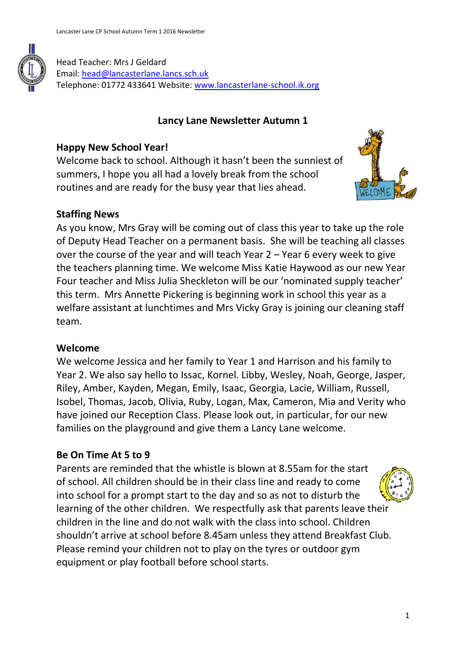

#### **Lancy Lane Newsletter Autumn 1**

### **Happy New School Year!**

Welcome back to school. Although it hasn't been the sunniest of summers, I hope you all had a lovely break from the school routines and are ready for the busy year that lies ahead.



### **Staffing News**

As you know, Mrs Gray will be coming out of class this year to take up the role of Deputy Head Teacher on a permanent basis. She will be teaching all classes over the course of the year and will teach Year 2 – Year 6 every week to give the teachers planning time. We welcome Miss Katie Haywood as our new Year Four teacher and Miss Julia Sheckleton will be our 'nominated supply teacher' this term. Mrs Annette Pickering is beginning work in school this year as a welfare assistant at lunchtimes and Mrs Vicky Gray is joining our cleaning staff team.

#### **Welcome**

We welcome Jessica and her family to Year 1 and Harrison and his family to Year 2. We also say hello to Issac, Kornel. Libby, Wesley, Noah, George, Jasper, Riley, Amber, Kayden, Megan, Emily, Isaac, Georgia, Lacie, William, Russell, Isobel, Thomas, Jacob, Olivia, Ruby, Logan, Max, Cameron, Mia and Verity who have joined our Reception Class. Please look out, in particular, for our new families on the playground and give them a Lancy Lane welcome.

# **Be On Time At 5 to 9**

Parents are reminded that the whistle is blown at 8.55am for the start of school. All children should be in their class line and ready to come into school for a prompt start to the day and so as not to disturb the learning of the other children. We respectfully ask that parents leave their children in the line and do not walk with the class into school. Children shouldn't arrive at school before 8.45am unless they attend Breakfast Club. Please remind your children not to play on the tyres or outdoor gym equipment or play football before school starts.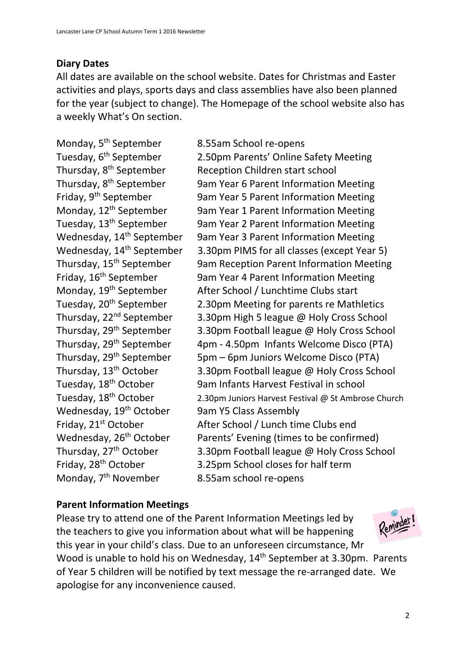# **Diary Dates**

All dates are available on the school website. Dates for Christmas and Easter activities and plays, sports days and class assemblies have also been planned for the year (subject to change). The Homepage of the school website also has a weekly What's On section.

Monday, 5<sup>th</sup> September 8.55am School re-opens Wednesday, 19<sup>th</sup> October 9am Y5 Class Assembly Monday, 7<sup>th</sup> November 8.55am school re-opens

Tuesday, 6th September 2.50pm Parents' Online Safety Meeting Thursday, 8<sup>th</sup> September Reception Children start school Thursday, 8<sup>th</sup> September 9am Year 6 Parent Information Meeting<br>Friday, 9<sup>th</sup> September 9am Year 5 Parent Information Meeting 9am Year 5 Parent Information Meeting Monday, 12<sup>th</sup> September 9am Year 1 Parent Information Meeting Tuesday, 13<sup>th</sup> September 9am Year 2 Parent Information Meeting Wednesday, 14<sup>th</sup> September 9am Year 3 Parent Information Meeting Wednesday, 14<sup>th</sup> September 3.30pm PIMS for all classes (except Year 5) Thursday, 15<sup>th</sup> September 9am Reception Parent Information Meeting Friday, 16<sup>th</sup> September 9am Year 4 Parent Information Meeting Monday, 19<sup>th</sup> September After School / Lunchtime Clubs start<br>Tuesday, 20<sup>th</sup> September 2.30pm Meeting for parents re Math 2.30pm Meeting for parents re Mathletics Thursday, 22<sup>nd</sup> September 3.30pm High 5 league @ Holy Cross School Thursday, 29th September 3.30pm Football league @ Holy Cross School Thursday, 29<sup>th</sup> September 4pm - 4.50pm Infants Welcome Disco (PTA) Thursday,  $29<sup>th</sup>$  September 5pm – 6pm Juniors Welcome Disco (PTA) Thursday, 13<sup>th</sup> October 3.30pm Football league @ Holy Cross School Tuesday, 18th October 9am Infants Harvest Festival in school Tuesday, 18<sup>th</sup> October 2.30pm Juniors Harvest Festival @ St Ambrose Church Friday, 21<sup>st</sup> October **After School / Lunch time Clubs end** Wednesday, 26<sup>th</sup> October Parents' Evening (times to be confirmed) Thursday, 27<sup>th</sup> October 3.30pm Football league @ Holy Cross School<br>Friday, 28<sup>th</sup> October 3.25pm School closes for half term 3.25pm School closes for half term

# **Parent Information Meetings**

Please try to attend one of the Parent Information Meetings led by the teachers to give you information about what will be happening this year in your child's class. Due to an unforeseen circumstance, Mr Wood is unable to hold his on Wednesday, 14<sup>th</sup> September at 3.30pm. Parents of Year 5 children will be notified by text message the re-arranged date. We apologise for any inconvenience caused.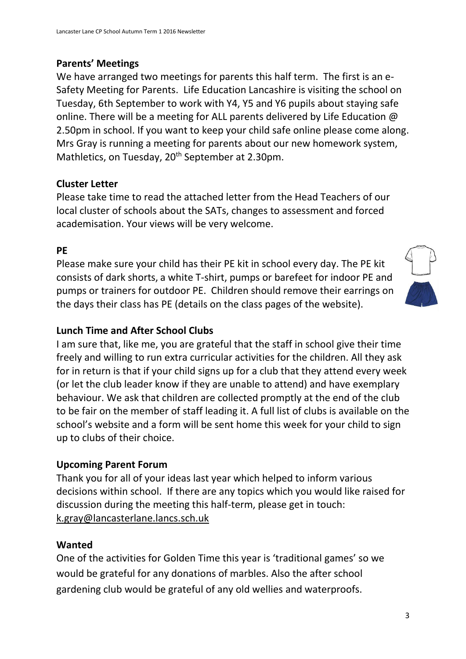### **Parents' Meetings**

We have arranged two meetings for parents this half term. The first is an e-Safety Meeting for Parents. Life Education Lancashire is visiting the school on Tuesday, 6th September to work with Y4, Y5 and Y6 pupils about staying safe online. There will be a meeting for ALL parents delivered by Life Education @ 2.50pm in school. If you want to keep your child safe online please come along. Mrs Gray is running a meeting for parents about our new homework system, Mathletics, on Tuesday, 20<sup>th</sup> September at 2.30pm.

### **Cluster Letter**

Please take time to read the attached letter from the Head Teachers of our local cluster of schools about the SATs, changes to assessment and forced academisation. Your views will be very welcome.

#### **PE**

Please make sure your child has their PE kit in school every day. The PE kit consists of dark shorts, a white T-shirt, pumps or barefeet for indoor PE and pumps or trainers for outdoor PE. Children should remove their earrings on the days their class has PE (details on the class pages of the website).



# **Lunch Time and After School Clubs**

I am sure that, like me, you are grateful that the staff in school give their time freely and willing to run extra curricular activities for the children. All they ask for in return is that if your child signs up for a club that they attend every week (or let the club leader know if they are unable to attend) and have exemplary behaviour. We ask that children are collected promptly at the end of the club to be fair on the member of staff leading it. A full list of clubs is available on the school's website and a form will be sent home this week for your child to sign up to clubs of their choice.

# **Upcoming Parent Forum**

Thank you for all of your ideas last year which helped to inform various decisions within school. If there are any topics which you would like raised for discussion during the meeting this half-term, please get in touch: [k.gray@lancasterlane.lancs.sch.uk](mailto:k.gray@lancasterlane.lancs.sch.uk)

#### **Wanted**

One of the activities for Golden Time this year is 'traditional games' so we would be grateful for any donations of marbles. Also the after school gardening club would be grateful of any old wellies and waterproofs.